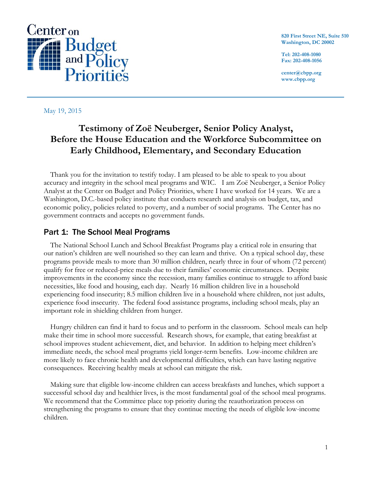

**820 First Street NE, Suite 510 Washington, DC 20002**

**Tel: 202-408-1080 Fax: 202-408-1056**

**center@cbpp.org www.cbpp.org**

### May 19, 2015

# **Testimony of Zoë Neuberger, Senior Policy Analyst, Before the House Education and the Workforce Subcommittee on Early Childhood, Elementary, and Secondary Education**

Thank you for the invitation to testify today. I am pleased to be able to speak to you about accuracy and integrity in the school meal programs and WIC. I am Zoë Neuberger, a Senior Policy Analyst at the Center on Budget and Policy Priorities, where I have worked for 14 years. We are a Washington, D.C.-based policy institute that conducts research and analysis on budget, tax, and economic policy, policies related to poverty, and a number of social programs. The Center has no government contracts and accepts no government funds.

# Part 1: The School Meal Programs

The National School Lunch and School Breakfast Programs play a critical role in ensuring that our nation's children are well nourished so they can learn and thrive. On a typical school day, these programs provide meals to more than 30 million children, nearly three in four of whom (72 percent) qualify for free or reduced-price meals due to their families' economic circumstances. Despite improvements in the economy since the recession, many families continue to struggle to afford basic necessities, like food and housing, each day. Nearly 16 million children live in a household experiencing food insecurity; 8.5 million children live in a household where children, not just adults, experience food insecurity. The federal food assistance programs, including school meals, play an important role in shielding children from hunger.

Hungry children can find it hard to focus and to perform in the classroom. School meals can help make their time in school more successful. Research shows, for example, that eating breakfast at school improves student achievement, diet, and behavior. In addition to helping meet children's immediate needs, the school meal programs yield longer-term benefits. Low-income children are more likely to face chronic health and developmental difficulties, which can have lasting negative consequences. Receiving healthy meals at school can mitigate the risk.

Making sure that eligible low-income children can access breakfasts and lunches, which support a successful school day and healthier lives, is the most fundamental goal of the school meal programs. We recommend that the Committee place top priority during the reauthorization process on strengthening the programs to ensure that they continue meeting the needs of eligible low-income children.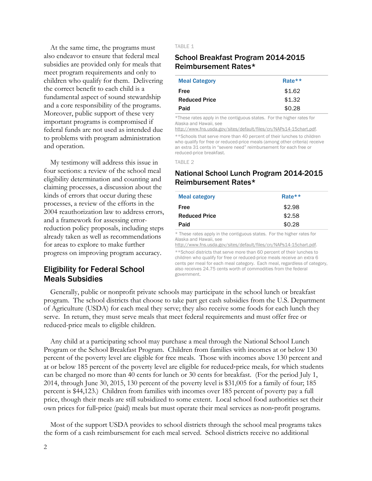At the same time, the programs must also endeavor to ensure that federal meal subsidies are provided only for meals that meet program requirements and only to children who qualify for them. Delivering the correct benefit to each child is a fundamental aspect of sound stewardship and a core responsibility of the programs. Moreover, public support of these very important programs is compromised if federal funds are not used as intended due to problems with program administration and operation.

My testimony will address this issue in four sections: a review of the school meal eligibility determination and counting and claiming processes, a discussion about the kinds of errors that occur during these processes, a review of the efforts in the 2004 reauthorization law to address errors, and a framework for assessing errorreduction policy proposals, including steps already taken as well as recommendations for areas to explore to make further progress on improving program accuracy.

# Eligibility for Federal School Meals Subsidies

TABLE 1

### School Breakfast Program 2014-2015 Reimbursement Rates\*

| <b>Meal Category</b> | Rate $**$ |
|----------------------|-----------|
| Free                 | \$1.62    |
| <b>Reduced Price</b> | \$1.32    |
| Paid                 | \$0.28    |

\*These rates apply in the contiguous states. For the higher rates for Alaska and Hawaii, see

[http://www.fns.usda.gov/sites/default/files/cn/NAPs14-15chart.pdf.](http://www.fns.usda.gov/sites/default/files/cn/NAPs14-15chart.pdf)

\*\*Schools that serve more than 40 percent of their lunches to children who qualify for free or reduced-price meals (among other criteria) receive an extra 31 cents in "severe need" reimbursement for each free or reduced-price breakfast.

TABLE 2

# National School Lunch Program 2014-2015 Reimbursement Rates\*

| Rate $**$ |
|-----------|
| \$2.98    |
| \$2.58    |
| \$0.28    |
|           |

\* These rates apply in the contiguous states. For the higher rates for Alaska and Hawaii, see

[http://www.fns.usda.gov/sites/default/files/cn/NAPs14-15chart.pdf.](http://www.fns.usda.gov/sites/default/files/cn/NAPs14-15chart.pdf)

\*\*School districts that serve more than 60 percent of their lunches to children who qualify for free or reduced-price meals receive an extra 6 cents per meal for each meal category. Each meal, regardless of category, also receives 24.75 cents worth of commodities from the federal government.

Generally, public or nonprofit private schools may participate in the school lunch or breakfast program. The school districts that choose to take part get cash subsidies from the U.S. Department of Agriculture (USDA) for each meal they serve; they also receive some foods for each lunch they serve. In return, they must serve meals that meet federal requirements and must offer free or reduced-price meals to eligible children.

Any child at a participating school may purchase a meal through the National School Lunch Program or the School Breakfast Program. Children from families with incomes at or below 130 percent of the poverty level are eligible for free meals. Those with incomes above 130 percent and at or below 185 percent of the poverty level are eligible for reduced-price meals, for which students can be charged no more than 40 cents for lunch or 30 cents for breakfast. (For the period July 1, 2014, through June 30, 2015, 130 percent of the poverty level is \$31,005 for a family of four; 185 percent is \$44,123.) Children from families with incomes over 185 percent of poverty pay a full price, though their meals are still subsidized to some extent. Local school food authorities set their own prices for full‐price (paid) meals but must operate their meal services as non‐profit programs.

Most of the support USDA provides to school districts through the school meal programs takes the form of a cash reimbursement for each meal served. School districts receive no additional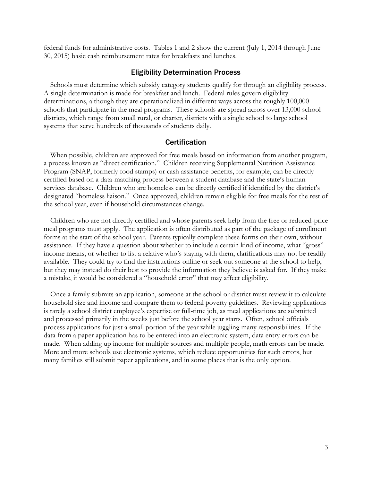federal funds for administrative costs. Tables 1 and 2 show the current (July 1, 2014 through June 30, 2015) basic cash reimbursement rates for breakfasts and lunches.

#### Eligibility Determination Process

Schools must determine which subsidy category students qualify for through an eligibility process. A single determination is made for breakfast and lunch. Federal rules govern eligibility determinations, although they are operationalized in different ways across the roughly 100,000 schools that participate in the meal programs. These schools are spread across over 13,000 school districts, which range from small rural, or charter, districts with a single school to large school systems that serve hundreds of thousands of students daily.

#### **Certification**

When possible, children are approved for free meals based on information from another program, a process known as "direct certification." Children receiving Supplemental Nutrition Assistance Program (SNAP, formerly food stamps) or cash assistance benefits, for example, can be directly certified based on a data-matching process between a student database and the state's human services database. Children who are homeless can be directly certified if identified by the district's designated "homeless liaison." Once approved, children remain eligible for free meals for the rest of the school year, even if household circumstances change.

Children who are not directly certified and whose parents seek help from the free or reduced-price meal programs must apply. The application is often distributed as part of the package of enrollment forms at the start of the school year. Parents typically complete these forms on their own, without assistance. If they have a question about whether to include a certain kind of income, what "gross" income means, or whether to list a relative who's staying with them, clarifications may not be readily available. They could try to find the instructions online or seek out someone at the school to help, but they may instead do their best to provide the information they believe is asked for. If they make a mistake, it would be considered a "household error" that may affect eligibility.

Once a family submits an application, someone at the school or district must review it to calculate household size and income and compare them to federal poverty guidelines. Reviewing applications is rarely a school district employee's expertise or full-time job, as meal applications are submitted and processed primarily in the weeks just before the school year starts. Often, school officials process applications for just a small portion of the year while juggling many responsibilities. If the data from a paper application has to be entered into an electronic system, data entry errors can be made. When adding up income for multiple sources and multiple people, math errors can be made. More and more schools use electronic systems, which reduce opportunities for such errors, but many families still submit paper applications, and in some places that is the only option.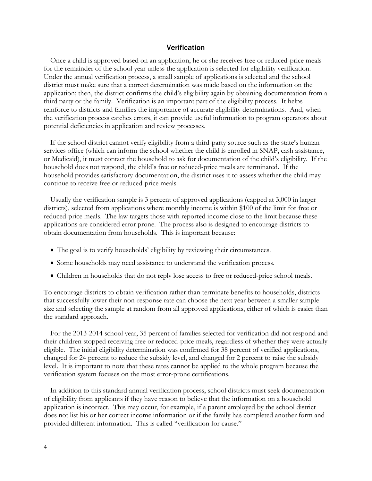### Verification

Once a child is approved based on an application, he or she receives free or reduced-price meals for the remainder of the school year unless the application is selected for eligibility verification. Under the annual verification process, a small sample of applications is selected and the school district must make sure that a correct determination was made based on the information on the application; then, the district confirms the child's eligibility again by obtaining documentation from a third party or the family. Verification is an important part of the eligibility process. It helps reinforce to districts and families the importance of accurate eligibility determinations. And, when the verification process catches errors, it can provide useful information to program operators about potential deficiencies in application and review processes.

If the school district cannot verify eligibility from a third-party source such as the state's human services office (which can inform the school whether the child is enrolled in SNAP, cash assistance, or Medicaid), it must contact the household to ask for documentation of the child's eligibility. If the household does not respond, the child's free or reduced-price meals are terminated. If the household provides satisfactory documentation, the district uses it to assess whether the child may continue to receive free or reduced-price meals.

Usually the verification sample is 3 percent of approved applications (capped at 3,000 in larger districts), selected from applications where monthly income is within \$100 of the limit for free or reduced-price meals. The law targets those with reported income close to the limit because these applications are considered error prone. The process also is designed to encourage districts to obtain documentation from households. This is important because:

- The goal is to verify households' eligibility by reviewing their circumstances.
- Some households may need assistance to understand the verification process.
- Children in households that do not reply lose access to free or reduced-price school meals.

To encourage districts to obtain verification rather than terminate benefits to households, districts that successfully lower their non-response rate can choose the next year between a smaller sample size and selecting the sample at random from all approved applications, either of which is easier than the standard approach.

For the 2013-2014 school year, 35 percent of families selected for verification did not respond and their children stopped receiving free or reduced-price meals, regardless of whether they were actually eligible. The initial eligibility determination was confirmed for 38 percent of verified applications, changed for 24 percent to reduce the subsidy level, and changed for 2 percent to raise the subsidy level. It is important to note that these rates cannot be applied to the whole program because the verification system focuses on the most error-prone certifications.

In addition to this standard annual verification process, school districts must seek documentation of eligibility from applicants if they have reason to believe that the information on a household application is incorrect. This may occur, for example, if a parent employed by the school district does not list his or her correct income information or if the family has completed another form and provided different information. This is called "verification for cause."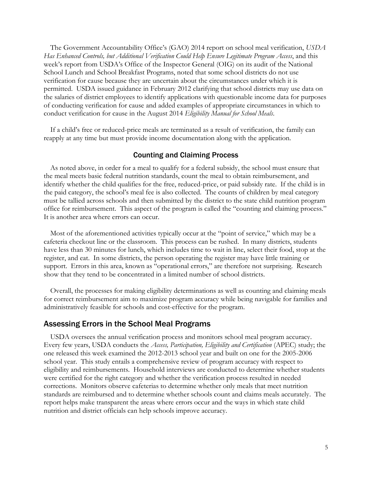The Government Accountability Office's (GAO) 2014 report on school meal verification, *USDA Has Enhanced Controls, but Additional Verification Could Help Ensure Legitimate Program Access*, and this week's report from USDA's Office of the Inspector General (OIG) on its audit of the National School Lunch and School Breakfast Programs, noted that some school districts do not use verification for cause because they are uncertain about the circumstances under which it is permitted. USDA issued guidance in February 2012 clarifying that school districts may use data on the salaries of district employees to identify applications with questionable income data for purposes of conducting verification for cause and added examples of appropriate circumstances in which to conduct verification for cause in the August 2014 *Eligibility Manual for School Meals*.

If a child's free or reduced-price meals are terminated as a result of verification, the family can reapply at any time but must provide income documentation along with the application.

#### Counting and Claiming Process

As noted above, in order for a meal to qualify for a federal subsidy, the school must ensure that the meal meets basic federal nutrition standards, count the meal to obtain reimbursement, and identify whether the child qualifies for the free, reduced-price, or paid subsidy rate. If the child is in the paid category, the school's meal fee is also collected. The counts of children by meal category must be tallied across schools and then submitted by the district to the state child nutrition program office for reimbursement. This aspect of the program is called the "counting and claiming process." It is another area where errors can occur.

Most of the aforementioned activities typically occur at the "point of service," which may be a cafeteria checkout line or the classroom. This process can be rushed. In many districts, students have less than 30 minutes for lunch, which includes time to wait in line, select their food, stop at the register, and eat. In some districts, the person operating the register may have little training or support. Errors in this area, known as "operational errors," are therefore not surprising. Research show that they tend to be concentrated in a limited number of school districts.

Overall, the processes for making eligibility determinations as well as counting and claiming meals for correct reimbursement aim to maximize program accuracy while being navigable for families and administratively feasible for schools and cost-effective for the program.

#### Assessing Errors in the School Meal Programs

USDA oversees the annual verification process and monitors school meal program accuracy. Every few years, USDA conducts the *Access, Participation, Eligibility and Certification* (APEC) study; the one released this week examined the 2012-2013 school year and built on one for the 2005-2006 school year. This study entails a comprehensive review of program accuracy with respect to eligibility and reimbursements. Household interviews are conducted to determine whether students were certified for the right category and whether the verification process resulted in needed corrections. Monitors observe cafeterias to determine whether only meals that meet nutrition standards are reimbursed and to determine whether schools count and claims meals accurately. The report helps make transparent the areas where errors occur and the ways in which state child nutrition and district officials can help schools improve accuracy.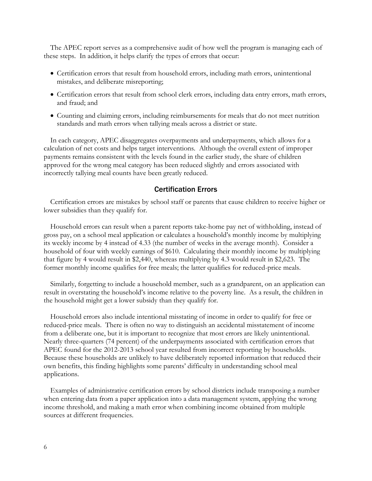The APEC report serves as a comprehensive audit of how well the program is managing each of these steps. In addition, it helps clarify the types of errors that occur:

- Certification errors that result from household errors, including math errors, unintentional mistakes, and deliberate misreporting;
- Certification errors that result from school clerk errors, including data entry errors, math errors, and fraud; and
- Counting and claiming errors, including reimbursements for meals that do not meet nutrition standards and math errors when tallying meals across a district or state.

In each category, APEC disaggregates overpayments and underpayments, which allows for a calculation of net costs and helps target interventions. Although the overall extent of improper payments remains consistent with the levels found in the earlier study, the share of children approved for the wrong meal category has been reduced slightly and errors associated with incorrectly tallying meal counts have been greatly reduced.

#### Certification Errors

Certification errors are mistakes by school staff or parents that cause children to receive higher or lower subsidies than they qualify for.

Household errors can result when a parent reports take-home pay net of withholding, instead of gross pay, on a school meal application or calculates a household's monthly income by multiplying its weekly income by 4 instead of 4.33 (the number of weeks in the average month). Consider a household of four with weekly earnings of \$610. Calculating their monthly income by multiplying that figure by 4 would result in \$2,440, whereas multiplying by 4.3 would result in \$2,623. The former monthly income qualifies for free meals; the latter qualifies for reduced-price meals.

Similarly, forgetting to include a household member, such as a grandparent, on an application can result in overstating the household's income relative to the poverty line. As a result, the children in the household might get a lower subsidy than they qualify for.

Household errors also include intentional misstating of income in order to qualify for free or reduced-price meals. There is often no way to distinguish an accidental misstatement of income from a deliberate one, but it is important to recognize that most errors are likely unintentional. Nearly three-quarters (74 percent) of the underpayments associated with certification errors that APEC found for the 2012-2013 school year resulted from incorrect reporting by households. Because these households are unlikely to have deliberately reported information that reduced their own benefits, this finding highlights some parents' difficulty in understanding school meal applications.

Examples of administrative certification errors by school districts include transposing a number when entering data from a paper application into a data management system, applying the wrong income threshold, and making a math error when combining income obtained from multiple sources at different frequencies.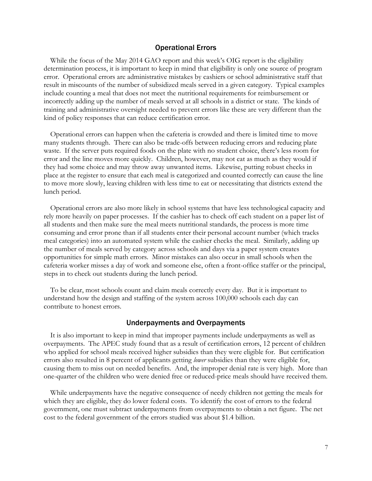#### Operational Errors

While the focus of the May 2014 GAO report and this week's OIG report is the eligibility determination process, it is important to keep in mind that eligibility is only one source of program error. Operational errors are administrative mistakes by cashiers or school administrative staff that result in miscounts of the number of subsidized meals served in a given category. Typical examples include counting a meal that does not meet the nutritional requirements for reimbursement or incorrectly adding up the number of meals served at all schools in a district or state. The kinds of training and administrative oversight needed to prevent errors like these are very different than the kind of policy responses that can reduce certification error.

Operational errors can happen when the cafeteria is crowded and there is limited time to move many students through. There can also be trade-offs between reducing errors and reducing plate waste. If the server puts required foods on the plate with no student choice, there's less room for error and the line moves more quickly. Children, however, may not eat as much as they would if they had some choice and may throw away unwanted items. Likewise, putting robust checks in place at the register to ensure that each meal is categorized and counted correctly can cause the line to move more slowly, leaving children with less time to eat or necessitating that districts extend the lunch period.

Operational errors are also more likely in school systems that have less technological capacity and rely more heavily on paper processes. If the cashier has to check off each student on a paper list of all students and then make sure the meal meets nutritional standards, the process is more time consuming and error prone than if all students enter their personal account number (which tracks meal categories) into an automated system while the cashier checks the meal. Similarly, adding up the number of meals served by category across schools and days via a paper system creates opportunities for simple math errors. Minor mistakes can also occur in small schools when the cafeteria worker misses a day of work and someone else, often a front-office staffer or the principal, steps in to check out students during the lunch period.

To be clear, most schools count and claim meals correctly every day. But it is important to understand how the design and staffing of the system across 100,000 schools each day can contribute to honest errors.

#### Underpayments and Overpayments

It is also important to keep in mind that improper payments include underpayments as well as overpayments. The APEC study found that as a result of certification errors, 12 percent of children who applied for school meals received higher subsidies than they were eligible for. But certification errors also resulted in 8 percent of applicants getting *lower* subsidies than they were eligible for, causing them to miss out on needed benefits. And, the improper denial rate is very high. More than one-quarter of the children who were denied free or reduced-price meals should have received them.

While underpayments have the negative consequence of needy children not getting the meals for which they are eligible, they do lower federal costs. To identify the cost of errors to the federal government, one must subtract underpayments from overpayments to obtain a net figure. The net cost to the federal government of the errors studied was about \$1.4 billion.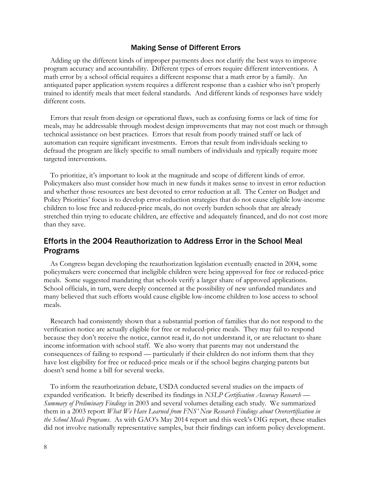#### Making Sense of Different Errors

Adding up the different kinds of improper payments does not clarify the best ways to improve program accuracy and accountability. Different types of errors require different interventions. A math error by a school official requires a different response that a math error by a family. An antiquated paper application system requires a different response than a cashier who isn't properly trained to identify meals that meet federal standards. And different kinds of responses have widely different costs.

Errors that result from design or operational flaws, such as confusing forms or lack of time for meals, may be addressable through modest design improvements that may not cost much or through technical assistance on best practices. Errors that result from poorly trained staff or lack of automation can require significant investments. Errors that result from individuals seeking to defraud the program are likely specific to small numbers of individuals and typically require more targeted interventions.

To prioritize, it's important to look at the magnitude and scope of different kinds of error. Policymakers also must consider how much in new funds it makes sense to invest in error reduction and whether those resources are best devoted to error reduction at all. The Center on Budget and Policy Priorities' focus is to develop error-reduction strategies that do not cause eligible low-income children to lose free and reduced-price meals, do not overly burden schools that are already stretched thin trying to educate children, are effective and adequately financed, and do not cost more than they save.

# Efforts in the 2004 Reauthorization to Address Error in the School Meal Programs

As Congress began developing the reauthorization legislation eventually enacted in 2004, some policymakers were concerned that ineligible children were being approved for free or reduced-price meals. Some suggested mandating that schools verify a larger share of approved applications. School officials, in turn, were deeply concerned at the possibility of new unfunded mandates and many believed that such efforts would cause eligible low-income children to lose access to school meals.

Research had consistently shown that a substantial portion of families that do not respond to the verification notice are actually eligible for free or reduced-price meals. They may fail to respond because they don't receive the notice, cannot read it, do not understand it, or are reluctant to share income information with school staff. We also worry that parents may not understand the consequences of failing to respond — particularly if their children do not inform them that they have lost eligibility for free or reduced-price meals or if the school begins charging parents but doesn't send home a bill for several weeks.

To inform the reauthorization debate, USDA conducted several studies on the impacts of expanded verification. It briefly described its findings in *NSLP Certification Accuracy Research — Summary of Preliminary Findings* in 2003 and several volumes detailing each study. We summarized them in a 2003 report *What We Have Learned from FNS' New Research Findings about Overcertification in the School Meals Programs*. As with GAO's May 2014 report and this week's OIG report, these studies did not involve nationally representative samples, but their findings can inform policy development.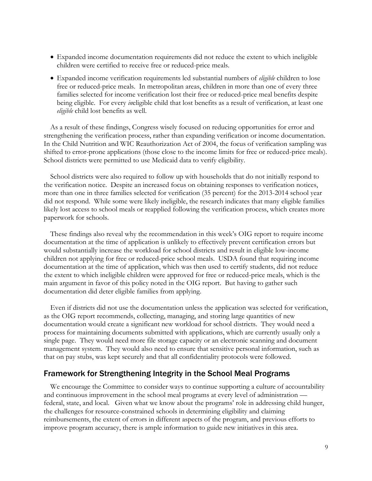- Expanded income documentation requirements did not reduce the extent to which ineligible children were certified to receive free or reduced-price meals.
- Expanded income verification requirements led substantial numbers of *eligible* children to lose free or reduced-price meals. In metropolitan areas, children in more than one of every three families selected for income verification lost their free or reduced-price meal benefits despite being eligible. For every *in*eligible child that lost benefits as a result of verification, at least one *eligible* child lost benefits as well.

As a result of these findings, Congress wisely focused on reducing opportunities for error and strengthening the verification process, rather than expanding verification or income documentation. In the Child Nutrition and WIC Reauthorization Act of 2004, the focus of verification sampling was shifted to error-prone applications (those close to the income limits for free or reduced-price meals). School districts were permitted to use Medicaid data to verify eligibility.

School districts were also required to follow up with households that do not initially respond to the verification notice. Despite an increased focus on obtaining responses to verification notices, more than one in three families selected for verification (35 percent) for the 2013-2014 school year did not respond. While some were likely ineligible, the research indicates that many eligible families likely lost access to school meals or reapplied following the verification process, which creates more paperwork for schools.

These findings also reveal why the recommendation in this week's OIG report to require income documentation at the time of application is unlikely to effectively prevent certification errors but would substantially increase the workload for school districts and result in eligible low-income children not applying for free or reduced-price school meals. USDA found that requiring income documentation at the time of application, which was then used to certify students, did not reduce the extent to which ineligible children were approved for free or reduced-price meals, which is the main argument in favor of this policy noted in the OIG report. But having to gather such documentation did deter eligible families from applying.

Even if districts did not use the documentation unless the application was selected for verification, as the OIG report recommends, collecting, managing, and storing large quantities of new documentation would create a significant new workload for school districts. They would need a process for maintaining documents submitted with applications, which are currently usually only a single page. They would need more file storage capacity or an electronic scanning and document management system. They would also need to ensure that sensitive personal information, such as that on pay stubs, was kept securely and that all confidentiality protocols were followed.

## Framework for Strengthening Integrity in the School Meal Programs

We encourage the Committee to consider ways to continue supporting a culture of accountability and continuous improvement in the school meal programs at every level of administration federal, state, and local. Given what we know about the programs' role in addressing child hunger, the challenges for resource-constrained schools in determining eligibility and claiming reimbursements, the extent of errors in different aspects of the program, and previous efforts to improve program accuracy, there is ample information to guide new initiatives in this area.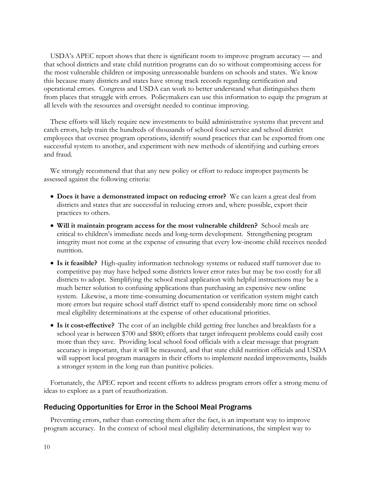USDA's APEC report shows that there is significant room to improve program accuracy — and that school districts and state child nutrition programs can do so without compromising access for the most vulnerable children or imposing unreasonable burdens on schools and states. We know this because many districts and states have strong track records regarding certification and operational errors. Congress and USDA can work to better understand what distinguishes them from places that struggle with errors. Policymakers can use this information to equip the program at all levels with the resources and oversight needed to continue improving.

These efforts will likely require new investments to build administrative systems that prevent and catch errors, help train the hundreds of thousands of school food service and school district employees that oversee program operations, identify sound practices that can be exported from one successful system to another, and experiment with new methods of identifying and curbing errors and fraud.

We strongly recommend that that any new policy or effort to reduce improper payments be assessed against the following criteria:

- **Does it have a demonstrated impact on reducing error?** We can learn a great deal from districts and states that are successful in reducing errors and, where possible, export their practices to others.
- **Will it maintain program access for the most vulnerable children?** School meals are critical to children's immediate needs and long-term development. Strengthening program integrity must not come at the expense of ensuring that every low-income child receives needed nutrition.
- **Is it feasible?** High-quality information technology systems or reduced staff turnover due to competitive pay may have helped some districts lower error rates but may be too costly for all districts to adopt. Simplifying the school meal application with helpful instructions may be a much better solution to confusing applications than purchasing an expensive new online system. Likewise, a more time-consuming documentation or verification system might catch more errors but require school staff district staff to spend considerably more time on school meal eligibility determinations at the expense of other educational priorities.
- **Is it cost-effective?** The cost of an ineligible child getting free lunches and breakfasts for a school year is between \$700 and \$800; efforts that target infrequent problems could easily cost more than they save. Providing local school food officials with a clear message that program accuracy is important, that it will be measured, and that state child nutrition officials and USDA will support local program managers in their efforts to implement needed improvements, builds a stronger system in the long run than punitive policies.

Fortunately, the APEC report and recent efforts to address program errors offer a strong menu of ideas to explore as a part of reauthorization.

### Reducing Opportunities for Error in the School Meal Programs

Preventing errors, rather than correcting them after the fact, is an important way to improve program accuracy. In the context of school meal eligibility determinations, the simplest way to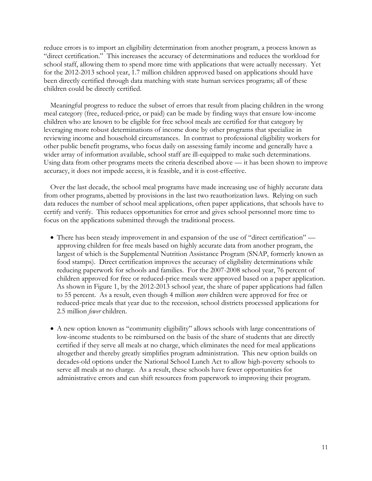reduce errors is to import an eligibility determination from another program, a process known as "direct certification." This increases the accuracy of determinations and reduces the workload for school staff, allowing them to spend more time with applications that were actually necessary. Yet for the 2012-2013 school year, 1.7 million children approved based on applications should have been directly certified through data matching with state human services programs; all of these children could be directly certified.

Meaningful progress to reduce the subset of errors that result from placing children in the wrong meal category (free, reduced-price, or paid) can be made by finding ways that ensure low-income children who are known to be eligible for free school meals are certified for that category by leveraging more robust determinations of income done by other programs that specialize in reviewing income and household circumstances. In contrast to professional eligibility workers for other public benefit programs, who focus daily on assessing family income and generally have a wider array of information available, school staff are ill-equipped to make such determinations. Using data from other programs meets the criteria described above — it has been shown to improve accuracy, it does not impede access, it is feasible, and it is cost-effective.

Over the last decade, the school meal programs have made increasing use of highly accurate data from other programs, abetted by provisions in the last two reauthorization laws. Relying on such data reduces the number of school meal applications, often paper applications, that schools have to certify and verify. This reduces opportunities for error and gives school personnel more time to focus on the applications submitted through the traditional process.

- There has been steady improvement in and expansion of the use of "direct certification" approving children for free meals based on highly accurate data from another program, the largest of which is the Supplemental Nutrition Assistance Program (SNAP, formerly known as food stamps). Direct certification improves the accuracy of eligibility determinations while reducing paperwork for schools and families. For the 2007-2008 school year, 76 percent of children approved for free or reduced-price meals were approved based on a paper application. As shown in Figure 1, by the 2012-2013 school year, the share of paper applications had fallen to 55 percent. As a result, even though 4 million *more* children were approved for free or reduced-price meals that year due to the recession, school districts processed applications for 2.5 million *fewer* children.
- A new option known as "community eligibility" allows schools with large concentrations of low-income students to be reimbursed on the basis of the share of students that are directly certified if they serve all meals at no charge, which eliminates the need for meal applications altogether and thereby greatly simplifies program administration. This new option builds on decades-old options under the National School Lunch Act to allow high-poverty schools to serve all meals at no charge. As a result, these schools have fewer opportunities for administrative errors and can shift resources from paperwork to improving their program.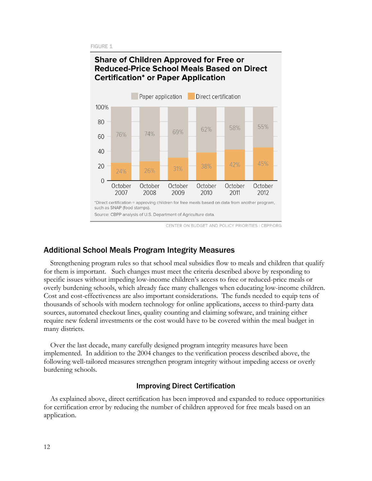**FIGURE 1** 



CENTER ON BUDGET AND POLICY PRIORITIES | CBPP.ORG

# Additional School Meals Program Integrity Measures

Strengthening program rules so that school meal subsidies flow to meals and children that qualify for them is important. Such changes must meet the criteria described above by responding to specific issues without impeding low-income children's access to free or reduced-price meals or overly burdening schools, which already face many challenges when educating low-income children. Cost and cost-effectiveness are also important considerations. The funds needed to equip tens of thousands of schools with modern technology for online applications, access to third-party data sources, automated checkout lines, quality counting and claiming software, and training either require new federal investments or the cost would have to be covered within the meal budget in many districts.

Over the last decade, many carefully designed program integrity measures have been implemented. In addition to the 2004 changes to the verification process described above, the following well-tailored measures strengthen program integrity without impeding access or overly burdening schools.

#### Improving Direct Certification

As explained above, direct certification has been improved and expanded to reduce opportunities for certification error by reducing the number of children approved for free meals based on an application.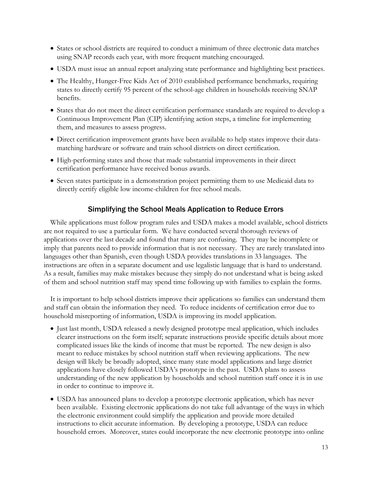- States or school districts are required to conduct a minimum of three electronic data matches using SNAP records each year, with more frequent matching encouraged.
- USDA must issue an annual report analyzing state performance and highlighting best practices.
- The Healthy, Hunger-Free Kids Act of 2010 established performance benchmarks, requiring states to directly certify 95 percent of the school-age children in households receiving SNAP benefits.
- States that do not meet the direct certification performance standards are required to develop a Continuous Improvement Plan (CIP) identifying action steps, a timeline for implementing them, and measures to assess progress.
- Direct certification improvement grants have been available to help states improve their datamatching hardware or software and train school districts on direct certification.
- High-performing states and those that made substantial improvements in their direct certification performance have received bonus awards.
- Seven states participate in a demonstration project permitting them to use Medicaid data to directly certify eligible low income-children for free school meals.

# Simplifying the School Meals Application to Reduce Errors

While applications must follow program rules and USDA makes a model available, school districts are not required to use a particular form. We have conducted several thorough reviews of applications over the last decade and found that many are confusing. They may be incomplete or imply that parents need to provide information that is not necessary. They are rarely translated into languages other than Spanish, even though USDA provides translations in 33 languages. The instructions are often in a separate document and use legalistic language that is hard to understand. As a result, families may make mistakes because they simply do not understand what is being asked of them and school nutrition staff may spend time following up with families to explain the forms.

It is important to help school districts improve their applications so families can understand them and staff can obtain the information they need. To reduce incidents of certification error due to household misreporting of information, USDA is improving its model application.

- Just last month, USDA released a newly designed prototype meal application, which includes clearer instructions on the form itself; separate instructions provide specific details about more complicated issues like the kinds of income that must be reported. The new design is also meant to reduce mistakes by school nutrition staff when reviewing applications. The new design will likely be broadly adopted, since many state model applications and large district applications have closely followed USDA's prototype in the past. USDA plans to assess understanding of the new application by households and school nutrition staff once it is in use in order to continue to improve it.
- USDA has announced plans to develop a prototype electronic application, which has never been available. Existing electronic applications do not take full advantage of the ways in which the electronic environment could simplify the application and provide more detailed instructions to elicit accurate information. By developing a prototype, USDA can reduce household errors. Moreover, states could incorporate the new electronic prototype into online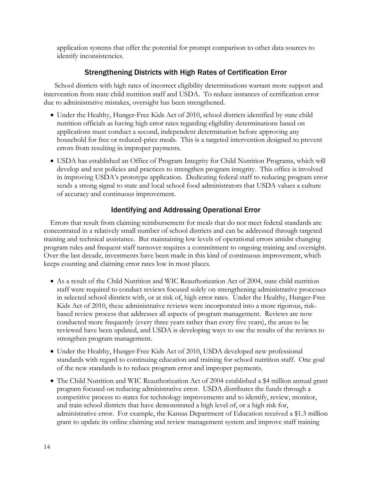application systems that offer the potential for prompt comparison to other data sources to identify inconsistencies.

# Strengthening Districts with High Rates of Certification Error

School districts with high rates of incorrect eligibility determinations warrant more support and intervention from state child nutrition staff and USDA. To reduce instances of certification error due to administrative mistakes, oversight has been strengthened.

- Under the Healthy, Hunger-Free Kids Act of 2010, school districts identified by state child nutrition officials as having high error rates regarding eligibility determinations based on applications must conduct a second, independent determination before approving any household for free or reduced-price meals. This is a targeted intervention designed to prevent errors from resulting in improper payments.
- USDA has established an Office of Program Integrity for Child Nutrition Programs, which will develop and test policies and practices to strengthen program integrity. This office is involved in improving USDA's prototype application. Dedicating federal staff to reducing program error sends a strong signal to state and local school food administrators that USDA values a culture of accuracy and continuous improvement.

# Identifying and Addressing Operational Error

Errors that result from claiming reimbursement for meals that do not meet federal standards are concentrated in a relatively small number of school districts and can be addressed through targeted training and technical assistance. But maintaining low levels of operational errors amidst changing program rules and frequent staff turnover requires a commitment to ongoing training and oversight. Over the last decade, investments have been made in this kind of continuous improvement, which keeps counting and claiming error rates low in most places.

- As a result of the Child Nutrition and WIC Reauthorization Act of 2004, state child nutrition staff were required to conduct reviews focused solely on strengthening administrative processes in selected school districts with, or at risk of, high error rates. Under the Healthy, Hunger-Free Kids Act of 2010, these administrative reviews were incorporated into a more rigorous, riskbased review process that addresses all aspects of program management. Reviews are now conducted more frequently (every three years rather than every five years), the areas to be reviewed have been updated, and USDA is developing ways to use the results of the reviews to strengthen program management.
- Under the Healthy, Hunger-Free Kids Act of 2010, USDA developed new professional standards with regard to continuing education and training for school nutrition staff. One goal of the new standards is to reduce program error and improper payments.
- The Child Nutrition and WIC Reauthorization Act of 2004 established a \$4 million annual grant program focused on reducing administrative error. USDA distributes the funds through a competitive process to states for technology improvements and to identify, review, monitor, and train school districts that have demonstrated a high level of, or a high risk for, administrative error. For example, the Kansas Department of Education received a \$1.3 million grant to update its online claiming and review management system and improve staff training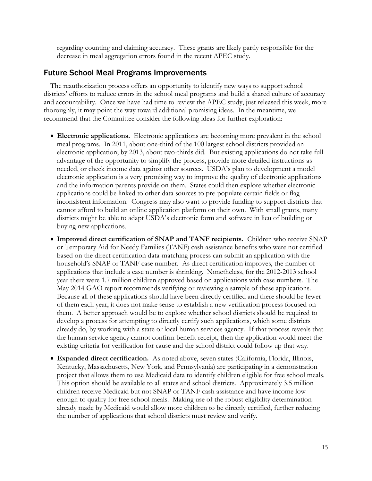regarding counting and claiming accuracy. These grants are likely partly responsible for the decrease in meal aggregation errors found in the recent APEC study.

### Future School Meal Programs Improvements

The reauthorization process offers an opportunity to identify new ways to support school districts' efforts to reduce errors in the school meal programs and build a shared culture of accuracy and accountability. Once we have had time to review the APEC study, just released this week, more thoroughly, it may point the way toward additional promising ideas. In the meantime, we recommend that the Committee consider the following ideas for further exploration:

- **Electronic applications.** Electronic applications are becoming more prevalent in the school meal programs. In 2011, about one-third of the 100 largest school districts provided an electronic application; by 2013, about two-thirds did. But existing applications do not take full advantage of the opportunity to simplify the process, provide more detailed instructions as needed, or check income data against other sources. USDA's plan to development a model electronic application is a very promising way to improve the quality of electronic applications and the information parents provide on them. States could then explore whether electronic applications could be linked to other data sources to pre-populate certain fields or flag inconsistent information. Congress may also want to provide funding to support districts that cannot afford to build an online application platform on their own. With small grants, many districts might be able to adapt USDA's electronic form and software in lieu of building or buying new applications.
- **Improved direct certification of SNAP and TANF recipients.** Children who receive SNAP or Temporary Aid for Needy Families (TANF) cash assistance benefits who were not certified based on the direct certification data-matching process can submit an application with the household's SNAP or TANF case number. As direct certification improves, the number of applications that include a case number is shrinking. Nonetheless, for the 2012-2013 school year there were 1.7 million children approved based on applications with case numbers. The May 2014 GAO report recommends verifying or reviewing a sample of these applications. Because all of these applications should have been directly certified and there should be fewer of them each year, it does not make sense to establish a new verification process focused on them. A better approach would be to explore whether school districts should be required to develop a process for attempting to directly certify such applications, which some districts already do, by working with a state or local human services agency. If that process reveals that the human service agency cannot confirm benefit receipt, then the application would meet the existing criteria for verification for cause and the school district could follow up that way.
- **Expanded direct certification.** As noted above, seven states (California, Florida, Illinois, Kentucky, Massachusetts, New York, and Pennsylvania) are participating in a demonstration project that allows them to use Medicaid data to identify children eligible for free school meals. This option should be available to all states and school districts. Approximately 3.5 million children receive Medicaid but not SNAP or TANF cash assistance and have income low enough to qualify for free school meals. Making use of the robust eligibility determination already made by Medicaid would allow more children to be directly certified, further reducing the number of applications that school districts must review and verify.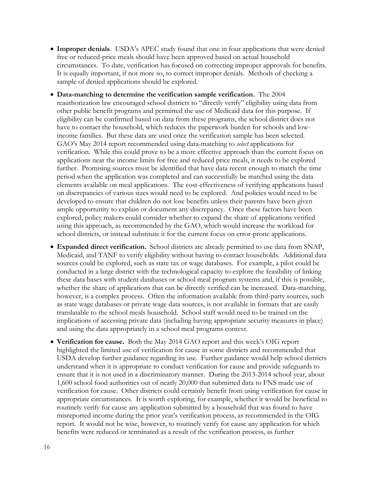- **Improper denials**. USDA's APEC study found that one in four applications that were denied free or reduced-price meals should have been approved based on actual household circumstances. To date, verification has focused on correcting improper approvals for benefits. It is equally important, if not more so, to correct improper denials. Methods of checking a sample of denied applications should be explored.
- **Data-matching to determine the verification sample verification.** The 2004 reauthorization law encouraged school districts to "directly verify" eligibility using data from other public benefit programs and permitted the use of Medicaid data for this purpose. If eligibility can be confirmed based on data from these programs, the school district does not have to contact the household, which reduces the paperwork burden for schools and lowincome families. But these data are used once the verification sample has been selected. GAO's May 2014 report recommended using data-matching to *select* applications for verification. While this could prove to be a more effective approach than the current focus on applications near the income limits for free and reduced price meals, it needs to be explored further. Promising sources must be identified that have data recent enough to match the time period when the application was completed and can successfully be matched using the data elements available on meal applications. The cost-effectiveness of verifying applications based on discrepancies of various sizes would need to be explored. And policies would need to be developed to ensure that children do not lose benefits unless their parents have been given ample opportunity to explain or document any discrepancy. Once these factors have been explored, policy makers could consider whether to expand the share of applications verified using this approach, as recommended by the GAO, which would increase the workload for school districts, or instead substitute it for the current focus on error-prone applications.
- **Expanded direct verification.** School districts are already permitted to use data from SNAP, Medicaid, and TANF to verify eligibility without having to contact households. Additional data sources could be explored, such as state tax or wage databases. For example, a pilot could be conducted in a large district with the technological capacity to explore the feasibility of linking these data bases with student databases or school meal program systems and, if this is possible, whether the share of applications that can be directly verified can be increased. Data-matching, however, is a complex process. Often the information available from third-party sources, such as state wage databases or private wage data sources, is not available in formats that are easily translatable to the school meals household. School staff would need to be trained on the implications of accessing private data (including having appropriate security measures in place) and using the data appropriately in a school meal programs context.
- **Verification for cause.** Both the May 2014 GAO report and this week's OIG report highlighted the limited use of verification for cause in some districts and recommended that USDA develop further guidance regarding its use. Further guidance would help school districts understand when it is appropriate to conduct verification for cause and provide safeguards to ensure that it is not used in a discriminatory manner. During the 2013-2014 school year, about 1,600 school food authorities out of nearly 20,000 that submitted data to FNS made use of verification for cause. Other districts could certainly benefit from using verification for cause in appropriate circumstances. It is worth exploring, for example, whether it would be beneficial to routinely verify for cause any application submitted by a household that was found to have misreported income during the prior year's verification process, as recommended in the OIG report. It would not be wise, however, to routinely verify for cause any application for which benefits were reduced or terminated as a result of the verification process, as further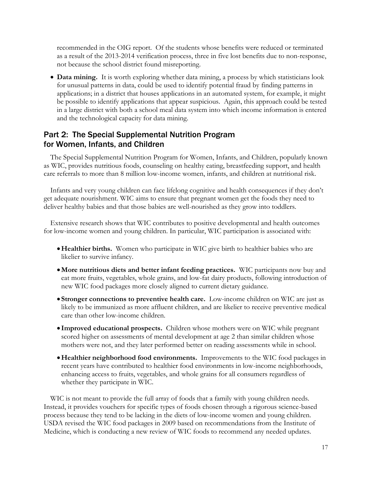recommended in the OIG report. Of the students whose benefits were reduced or terminated as a result of the 2013-2014 verification process, three in five lost benefits due to non-response, not because the school district found misreporting.

 **Data mining.** It is worth exploring whether data mining, a process by which statisticians look for unusual patterns in data, could be used to identify potential fraud by finding patterns in applications; in a district that houses applications in an automated system, for example, it might be possible to identify applications that appear suspicious. Again, this approach could be tested in a large district with both a school meal data system into which income information is entered and the technological capacity for data mining.

# Part 2: The Special Supplemental Nutrition Program for Women, Infants, and Children

The Special Supplemental Nutrition Program for Women, Infants, and Children, popularly known as WIC, provides nutritious foods, counseling on healthy eating, breastfeeding support, and health care referrals to more than 8 million low-income women, infants, and children at nutritional risk.

Infants and very young children can face lifelong cognitive and health consequences if they don't get adequate nourishment. WIC aims to ensure that pregnant women get the foods they need to deliver healthy babies and that those babies are well-nourished as they grow into toddlers.

Extensive research shows that WIC contributes to positive developmental and health outcomes for low-income women and young children. In particular, WIC participation is associated with:

- **Healthier births.** Women who participate in WIC give birth to healthier babies who are likelier to survive infancy.
- **More nutritious diets and better infant feeding practices.** WIC participants now buy and eat more fruits, vegetables, whole grains, and low-fat dairy products, following introduction of new WIC food packages more closely aligned to current dietary guidance.
- **Stronger connections to preventive health care.** Low-income children on WIC are just as likely to be immunized as more affluent children, and are likelier to receive preventive medical care than other low-income children.
- **Improved educational prospects.** Children whose mothers were on WIC while pregnant scored higher on assessments of mental development at age 2 than similar children whose mothers were not, and they later performed better on reading assessments while in school.
- **Healthier neighborhood food environments.** Improvements to the WIC food packages in recent years have contributed to healthier food environments in low-income neighborhoods, enhancing access to fruits, vegetables, and whole grains for all consumers regardless of whether they participate in WIC.

WIC is not meant to provide the full array of foods that a family with young children needs. Instead, it provides vouchers for specific types of foods chosen through a rigorous science-based process because they tend to be lacking in the diets of low-income women and young children. USDA revised the WIC food packages in 2009 based on recommendations from the Institute of Medicine, which is conducting a new review of WIC foods to recommend any needed updates.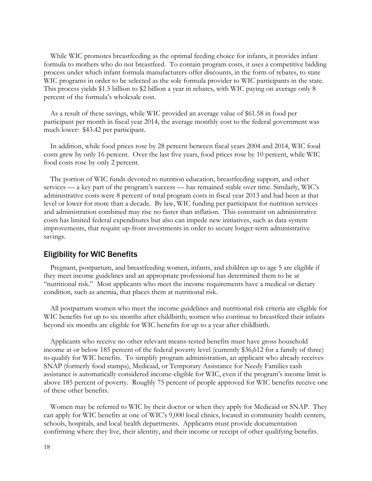While WIC promotes breastfeeding as the optimal feeding choice for infants, it provides infant formula to mothers who do not breastfeed. To contain program costs, it uses a competitive bidding process under which infant formula manufacturers offer discounts, in the form of rebates, to state WIC programs in order to be selected as the sole formula provider to WIC participants in the state. This process yields \$1.5 billion to \$2 billion a year in rebates, with WIC paying on average only 8 percent of the formula's wholesale cost.

As a result of these savings, while WIC provided an average value of \$61.58 in food per participant per month in fiscal year 2014, the average monthly cost to the federal government was much lower: \$43.42 per participant.

In addition, while food prices rose by 28 percent between fiscal years 2004 and 2014, WIC food costs grew by only 16 percent. Over the last five years, food prices rose by 10 percent, while WIC food costs rose by only 2 percent.

The portion of WIC funds devoted to nutrition education, breastfeeding support, and other services — a key part of the program's success — has remained stable over time. Similarly, WIC's administrative costs were 8 percent of total program costs in fiscal year 2013 and had been at that level or lower for more than a decade. By law, WIC funding per participant for nutrition services and administration combined may rise no faster than inflation. This constraint on administrative costs has limited federal expenditures but also can impede new initiatives, such as data system improvements, that require up-front investments in order to secure longer-term administrative savings.

### Eligibility for WIC Benefits

Pregnant, postpartum, and breastfeeding women, infants, and children up to age 5 are eligible if they meet income guidelines and an appropriate professional has determined them to be at "nutritional risk." Most applicants who meet the income requirements have a medical or dietary condition, such as anemia, that places them at nutritional risk.

All postpartum women who meet the income guidelines and nutritional risk criteria are eligible for WIC benefits for up to six months after childbirth; women who continue to breastfeed their infants beyond six months are eligible for WIC benefits for up to a year after childbirth.

Applicants who receive no other relevant means-tested benefits must have gross household income at or below 185 percent of the federal poverty level (currently \$36,612 for a family of three) to qualify for WIC benefits. To simplify program administration, an applicant who already receives SNAP (formerly food stamps), Medicaid, or Temporary Assistance for Needy Families cash assistance is automatically considered income-eligible for WIC, even if the program's income limit is above 185 percent of poverty. Roughly 75 percent of people approved for WIC benefits receive one of these other benefits.

Women may be referred to WIC by their doctor or when they apply for Medicaid or SNAP. They can apply for WIC benefits at one of WIC's 9,000 local clinics, located in community health centers, schools, hospitals, and local health departments. Applicants must provide documentation confirming where they live, their identity, and their income or receipt of other qualifying benefits.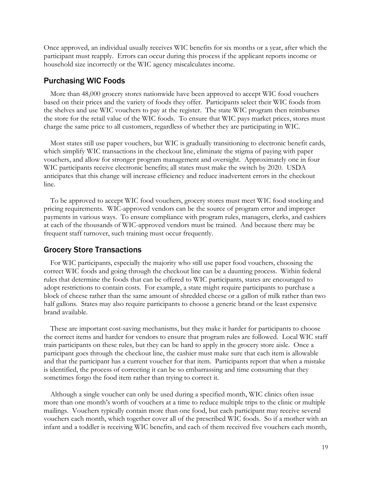Once approved, an individual usually receives WIC benefits for six months or a year, after which the participant must reapply. Errors can occur during this process if the applicant reports income or household size incorrectly or the WIC agency miscalculates income.

### Purchasing WIC Foods

More than 48,000 grocery stores nationwide have been approved to accept WIC food vouchers based on their prices and the variety of foods they offer. Participants select their WIC foods from the shelves and use WIC vouchers to pay at the register. The state WIC program then reimburses the store for the retail value of the WIC foods. To ensure that WIC pays market prices, stores must charge the same price to all customers, regardless of whether they are participating in WIC.

Most states still use paper vouchers, but WIC is gradually transitioning to electronic benefit cards, which simplify WIC transactions in the checkout line, eliminate the stigma of paying with paper vouchers, and allow for stronger program management and oversight. Approximately one in four WIC participants receive electronic benefits; all states must make the switch by 2020. USDA anticipates that this change will increase efficiency and reduce inadvertent errors in the checkout line.

To be approved to accept WIC food vouchers, grocery stores must meet WIC food stocking and pricing requirements. WIC-approved vendors can be the source of program error and improper payments in various ways. To ensure compliance with program rules, managers, clerks, and cashiers at each of the thousands of WIC-approved vendors must be trained. And because there may be frequent staff turnover, such training must occur frequently.

### Grocery Store Transactions

For WIC participants, especially the majority who still use paper food vouchers, choosing the correct WIC foods and going through the checkout line can be a daunting process. Within federal rules that determine the foods that can be offered to WIC participants, states are encouraged to adopt restrictions to contain costs. For example, a state might require participants to purchase a block of cheese rather than the same amount of shredded cheese or a gallon of milk rather than two half gallons. States may also require participants to choose a generic brand or the least expensive brand available.

These are important cost-saving mechanisms, but they make it harder for participants to choose the correct items and harder for vendors to ensure that program rules are followed. Local WIC staff train participants on these rules, but they can be hard to apply in the grocery store aisle. Once a participant goes through the checkout line, the cashier must make sure that each item is allowable and that the participant has a current voucher for that item. Participants report that when a mistake is identified, the process of correcting it can be so embarrassing and time consuming that they sometimes forgo the food item rather than trying to correct it.

Although a single voucher can only be used during a specified month, WIC clinics often issue more than one month's worth of vouchers at a time to reduce multiple trips to the clinic or multiple mailings. Vouchers typically contain more than one food, but each participant may receive several vouchers each month, which together cover all of the prescribed WIC foods. So if a mother with an infant and a toddler is receiving WIC benefits, and each of them received five vouchers each month,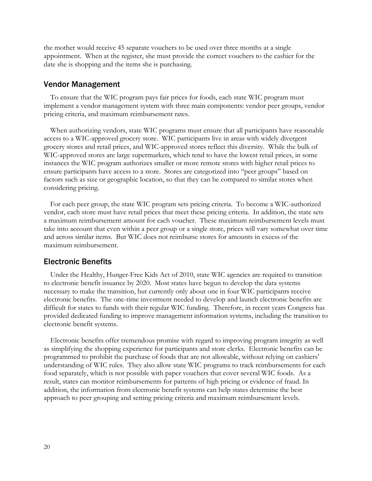the mother would receive 45 separate vouchers to be used over three months at a single appointment. When at the register, she must provide the correct vouchers to the cashier for the date she is shopping and the items she is purchasing.

#### Vendor Management

To ensure that the WIC program pays fair prices for foods, each state WIC program must implement a vendor management system with three main components: vendor peer groups, vendor pricing criteria, and maximum reimbursement rates.

When authorizing vendors, state WIC programs must ensure that all participants have reasonable access to a WIC-approved grocery store. WIC participants live in areas with widely divergent grocery stores and retail prices, and WIC-approved stores reflect this diversity. While the bulk of WIC-approved stores are large supermarkets, which tend to have the lowest retail prices, in some instances the WIC program authorizes smaller or more remote stores with higher retail prices to ensure participants have access to a store. Stores are categorized into "peer groups" based on factors such as size or geographic location, so that they can be compared to similar stores when considering pricing.

For each peer group, the state WIC program sets pricing criteria. To become a WIC-authorized vendor, each store must have retail prices that meet these pricing criteria. In addition, the state sets a maximum reimbursement amount for each voucher. These maximum reimbursement levels must take into account that even within a peer group or a single store, prices will vary somewhat over time and across similar items. But WIC does not reimburse stores for amounts in excess of the maximum reimbursement.

#### Electronic Benefits

Under the Healthy, Hunger-Free Kids Act of 2010, state WIC agencies are required to transition to electronic benefit issuance by 2020. Most states have begun to develop the data systems necessary to make the transition, but currently only about one in four WIC participants receive electronic benefits. The one-time investment needed to develop and launch electronic benefits are difficult for states to funds with their regular WIC funding. Therefore, in recent years Congress has provided dedicated funding to improve management information systems, including the transition to electronic benefit systems.

Electronic benefits offer tremendous promise with regard to improving program integrity as well as simplifying the shopping experience for participants and store clerks. Electronic benefits can be programmed to prohibit the purchase of foods that are not allowable, without relying on cashiers' understanding of WIC rules. They also allow state WIC programs to track reimbursements for each food separately, which is not possible with paper vouchers that cover several WIC foods. As a result, states can monitor reimbursements for patterns of high pricing or evidence of fraud. In addition, the information from electronic benefit systems can help states determine the best approach to peer grouping and setting pricing criteria and maximum reimbursement levels.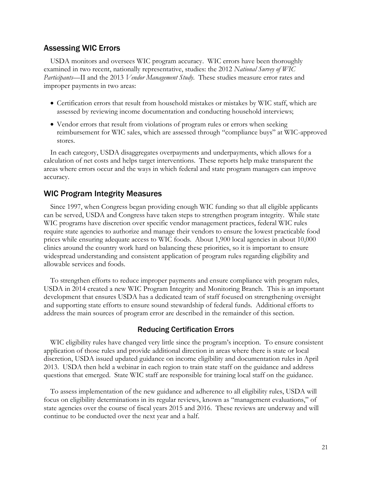## Assessing WIC Errors

USDA monitors and oversees WIC program accuracy. WIC errors have been thoroughly examined in two recent, nationally representative, studies: the 2012 *National Survey of WIC Participants*—II and the 2013 *Vendor Management Study*. These studies measure error rates and improper payments in two areas:

- Certification errors that result from household mistakes or mistakes by WIC staff, which are assessed by reviewing income documentation and conducting household interviews;
- Vendor errors that result from violations of program rules or errors when seeking reimbursement for WIC sales, which are assessed through "compliance buys" at WIC-approved stores.

In each category, USDA disaggregates overpayments and underpayments, which allows for a calculation of net costs and helps target interventions. These reports help make transparent the areas where errors occur and the ways in which federal and state program managers can improve accuracy.

## WIC Program Integrity Measures

Since 1997, when Congress began providing enough WIC funding so that all eligible applicants can be served, USDA and Congress have taken steps to strengthen program integrity. While state WIC programs have discretion over specific vendor management practices, federal WIC rules require state agencies to authorize and manage their vendors to ensure the lowest practicable food prices while ensuring adequate access to WIC foods. About 1,900 local agencies in about 10,000 clinics around the country work hard on balancing these priorities, so it is important to ensure widespread understanding and consistent application of program rules regarding eligibility and allowable services and foods.

To strengthen efforts to reduce improper payments and ensure compliance with program rules, USDA in 2014 created a new WIC Program Integrity and Monitoring Branch. This is an important development that ensures USDA has a dedicated team of staff focused on strengthening oversight and supporting state efforts to ensure sound stewardship of federal funds. Additional efforts to address the main sources of program error are described in the remainder of this section.

### Reducing Certification Errors

WIC eligibility rules have changed very little since the program's inception. To ensure consistent application of those rules and provide additional direction in areas where there is state or local discretion, USDA issued updated guidance on income eligibility and documentation rules in April 2013. USDA then held a webinar in each region to train state staff on the guidance and address questions that emerged. State WIC staff are responsible for training local staff on the guidance.

To assess implementation of the new guidance and adherence to all eligibility rules, USDA will focus on eligibility determinations in its regular reviews, known as "management evaluations," of state agencies over the course of fiscal years 2015 and 2016. These reviews are underway and will continue to be conducted over the next year and a half.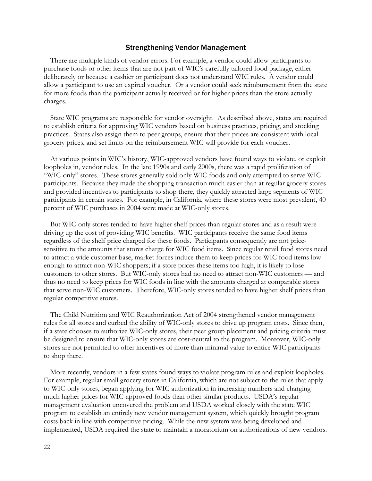### Strengthening Vendor Management

There are multiple kinds of vendor errors. For example, a vendor could allow participants to purchase foods or other items that are not part of WIC's carefully tailored food package, either deliberately or because a cashier or participant does not understand WIC rules. A vendor could allow a participant to use an expired voucher. Or a vendor could seek reimbursement from the state for more foods than the participant actually received or for higher prices than the store actually charges.

State WIC programs are responsible for vendor oversight. As described above, states are required to establish criteria for approving WIC vendors based on business practices, pricing, and stocking practices. States also assign them to peer groups, ensure that their prices are consistent with local grocery prices, and set limits on the reimbursement WIC will provide for each voucher.

At various points in WIC's history, WIC-approved vendors have found ways to violate, or exploit loopholes in, vendor rules. In the late 1990s and early 2000s, there was a rapid proliferation of "WIC-only" stores. These stores generally sold only WIC foods and only attempted to serve WIC participants. Because they made the shopping transaction much easier than at regular grocery stores and provided incentives to participants to shop there, they quickly attracted large segments of WIC participants in certain states. For example, in California, where these stores were most prevalent, 40 percent of WIC purchases in 2004 were made at WIC-only stores.

But WIC-only stores tended to have higher shelf prices than regular stores and as a result were driving up the cost of providing WIC benefits. WIC participants receive the same food items regardless of the shelf price charged for these foods. Participants consequently are not pricesensitive to the amounts that stores charge for WIC food items. Since regular retail food stores need to attract a wide customer base, market forces induce them to keep prices for WIC food items low enough to attract non-WIC shoppers; if a store prices these items too high, it is likely to lose customers to other stores. But WIC-only stores had no need to attract non-WIC customers — and thus no need to keep prices for WIC foods in line with the amounts charged at comparable stores that serve non-WIC customers. Therefore, WIC-only stores tended to have higher shelf prices than regular competitive stores.

The Child Nutrition and WIC Reauthorization Act of 2004 strengthened vendor management rules for all stores and curbed the ability of WIC-only stores to drive up program costs. Since then, if a state chooses to authorize WIC-only stores, their peer group placement and pricing criteria must be designed to ensure that WIC-only stores are cost-neutral to the program. Moreover, WIC-only stores are not permitted to offer incentives of more than minimal value to entice WIC participants to shop there.

More recently, vendors in a few states found ways to violate program rules and exploit loopholes. For example, regular small grocery stores in California, which are not subject to the rules that apply to WIC-only stores, began applying for WIC authorization in increasing numbers and charging much higher prices for WIC-approved foods than other similar products. USDA's regular management evaluation uncovered the problem and USDA worked closely with the state WIC program to establish an entirely new vendor management system, which quickly brought program costs back in line with competitive pricing. While the new system was being developed and implemented, USDA required the state to maintain a moratorium on authorizations of new vendors.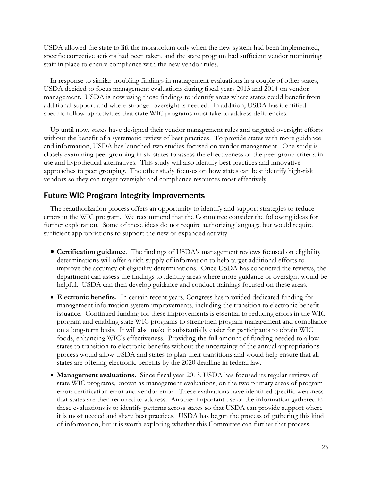USDA allowed the state to lift the moratorium only when the new system had been implemented, specific corrective actions had been taken, and the state program had sufficient vendor monitoring staff in place to ensure compliance with the new vendor rules.

In response to similar troubling findings in management evaluations in a couple of other states, USDA decided to focus management evaluations during fiscal years 2013 and 2014 on vendor management. USDA is now using those findings to identify areas where states could benefit from additional support and where stronger oversight is needed. In addition, USDA has identified specific follow-up activities that state WIC programs must take to address deficiencies.

Up until now, states have designed their vendor management rules and targeted oversight efforts without the benefit of a systematic review of best practices. To provide states with more guidance and information, USDA has launched two studies focused on vendor management. One study is closely examining peer grouping in six states to assess the effectiveness of the peer group criteria in use and hypothetical alternatives. This study will also identify best practices and innovative approaches to peer grouping. The other study focuses on how states can best identify high-risk vendors so they can target oversight and compliance resources most effectively.

# Future WIC Program Integrity Improvements

The reauthorization process offers an opportunity to identify and support strategies to reduce errors in the WIC program. We recommend that the Committee consider the following ideas for further exploration. Some of these ideas do not require authorizing language but would require sufficient appropriations to support the new or expanded activity.

- **Certification guidance**. The findings of USDA's management reviews focused on eligibility determinations will offer a rich supply of information to help target additional efforts to improve the accuracy of eligibility determinations. Once USDA has conducted the reviews, the department can assess the findings to identify areas where more guidance or oversight would be helpful. USDA can then develop guidance and conduct trainings focused on these areas.
- **Electronic benefits.** In certain recent years, Congress has provided dedicated funding for management information system improvements, including the transition to electronic benefit issuance. Continued funding for these improvements is essential to reducing errors in the WIC program and enabling state WIC programs to strengthen program management and compliance on a long-term basis. It will also make it substantially easier for participants to obtain WIC foods, enhancing WIC's effectiveness. Providing the full amount of funding needed to allow states to transition to electronic benefits without the uncertainty of the annual appropriations process would allow USDA and states to plan their transitions and would help ensure that all states are offering electronic benefits by the 2020 deadline in federal law.
- **Management evaluations.** Since fiscal year 2013, USDA has focused its regular reviews of state WIC programs, known as management evaluations, on the two primary areas of program error: certification error and vendor error. These evaluations have identified specific weakness that states are then required to address. Another important use of the information gathered in these evaluations is to identify patterns across states so that USDA can provide support where it is most needed and share best practices. USDA has begun the process of gathering this kind of information, but it is worth exploring whether this Committee can further that process.